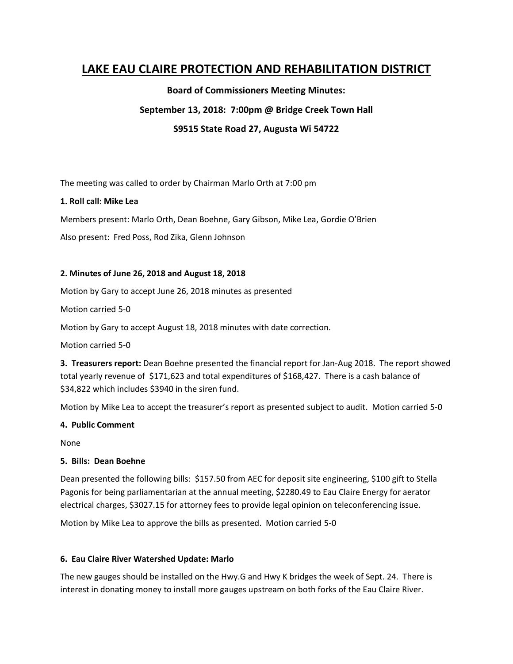# **LAKE EAU CLAIRE PROTECTION AND REHABILITATION DISTRICT**

**Board of Commissioners Meeting Minutes:**

**September 13, 2018: 7:00pm @ Bridge Creek Town Hall**

# **S9515 State Road 27, Augusta Wi 54722**

The meeting was called to order by Chairman Marlo Orth at 7:00 pm

## **1. Roll call: Mike Lea**

Members present: Marlo Orth, Dean Boehne, Gary Gibson, Mike Lea, Gordie O'Brien

Also present: Fred Poss, Rod Zika, Glenn Johnson

### **2. Minutes of June 26, 2018 and August 18, 2018**

Motion by Gary to accept June 26, 2018 minutes as presented

Motion carried 5-0

Motion by Gary to accept August 18, 2018 minutes with date correction.

Motion carried 5-0

**3. Treasurers report:** Dean Boehne presented the financial report for Jan-Aug 2018. The report showed total yearly revenue of \$171,623 and total expenditures of \$168,427. There is a cash balance of \$34,822 which includes \$3940 in the siren fund.

Motion by Mike Lea to accept the treasurer's report as presented subject to audit. Motion carried 5-0

### **4. Public Comment**

None

# **5. Bills: Dean Boehne**

Dean presented the following bills: \$157.50 from AEC for deposit site engineering, \$100 gift to Stella Pagonis for being parliamentarian at the annual meeting, \$2280.49 to Eau Claire Energy for aerator electrical charges, \$3027.15 for attorney fees to provide legal opinion on teleconferencing issue.

Motion by Mike Lea to approve the bills as presented. Motion carried 5-0

# **6. Eau Claire River Watershed Update: Marlo**

The new gauges should be installed on the Hwy.G and Hwy K bridges the week of Sept. 24. There is interest in donating money to install more gauges upstream on both forks of the Eau Claire River.